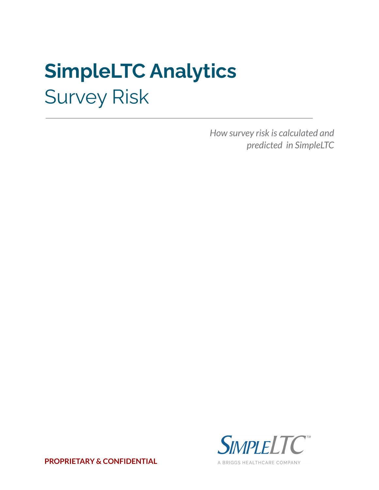# **SimpleLTC Analytics** Survey Risk

*How survey risk is calculated and predicted in SimpleLTC*



**PROPRIETARY & CONFIDENTIAL**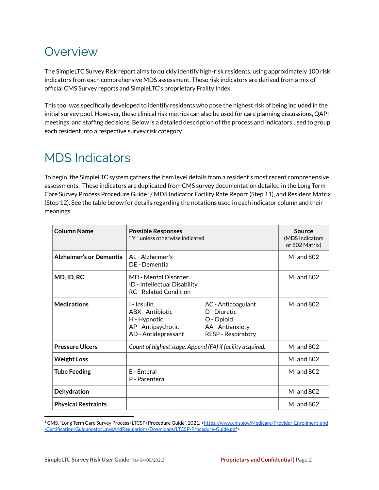## **Overview**

The SimpleLTC Survey Risk report aims to quickly identify high-risk residents, using approximately 100 risk indicators from each comprehensive MDS assessment. These risk indicators are derived from a mix of official CMS Survey reports and SimpleLTC's proprietary Frailty Index.

This tool was specifically developed to identify residents who pose the highest risk of being included in the initial survey pool. However, these clinical risk metrics can also be used for care planning discussions, QAPI meetings, and staffing decisions. Below is a detailed description of the process and indicators used to group each resident into a respective survey risk category.

## MDS Indicators

To begin, the SimpleLTC system gathers the item level details from a resident's most recent comprehensive assessments. These indicators are duplicated from CMS survey documentation detailed in the Long Term Care Survey Process Procedure Guide<sup>1</sup> / MDS Indicator Facility Rate Report (Step 11), and Resident Matrix (Step 12). See the table below for details regarding the notations used in each indicator column and their meanings.

| <b>Column Name</b>             | <b>Possible Responses</b><br>"Y" unless otherwise indicated                                  |                                                                                                   | Source<br>(MDS Indicators<br>or 802 Matrix) |
|--------------------------------|----------------------------------------------------------------------------------------------|---------------------------------------------------------------------------------------------------|---------------------------------------------|
| <b>Alzheimer's or Dementia</b> | AL - Alzheimer's<br>DF - Dementia                                                            |                                                                                                   | <b>MI</b> and 802                           |
| MD, ID, RC                     | MD - Mental Disorder<br>ID - Intellectual Disability<br><b>RC</b> - Related Condition        |                                                                                                   | <b>MI</b> and 802                           |
| <b>Medications</b>             | 1 - Insulin<br>ABX - Antibiotic<br>H - Hypnotic<br>AP - Antipsychotic<br>AD - Antidepressant | AC - Anticoagulant<br>D - Diuretic<br>O - Opioid<br>AA - Antianxiety<br><b>RESP - Respiratory</b> | <b>MI</b> and 802                           |
| <b>Pressure Ulcers</b>         | Count of highest stage. Append (FA) if facility acquired.                                    |                                                                                                   | <b>MI</b> and 802                           |
| <b>Weight Loss</b>             |                                                                                              |                                                                                                   | MI and $802$                                |
| <b>Tube Feeding</b>            | F - Enteral<br>P - Parenteral                                                                |                                                                                                   | <b>MI</b> and 802                           |
| <b>Dehydration</b>             |                                                                                              |                                                                                                   | MI and 802                                  |
| <b>Physical Restraints</b>     |                                                                                              |                                                                                                   | <b>MI</b> and 802                           |

<sup>1</sup> CMS, "Long Term Care Survey Process (LTCSP) Procedure Guide", 2021, <[https://www.cms.gov/Medicare/Provider-Enrollment-and](https://www.cms.gov/Medicare/Provider-Enrollment-and-Certification/GuidanceforLawsAndRegulations/Downloads/LTCSP-Procedure-Guide.pdf) [-Certification/GuidanceforLawsAndRegulations/Downloads/LTCSP-Procedure-Guide.pdf](https://www.cms.gov/Medicare/Provider-Enrollment-and-Certification/GuidanceforLawsAndRegulations/Downloads/LTCSP-Procedure-Guide.pdf)>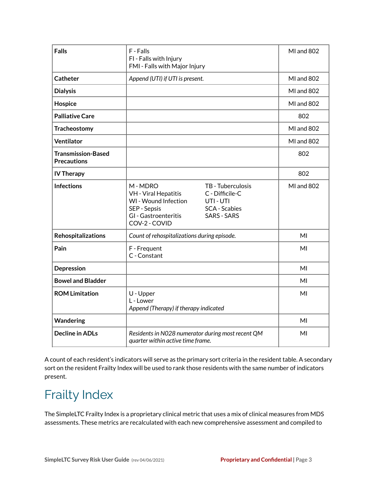| <b>Falls</b>                                    | F - Falls                                                                                                                                                                                                                 | <b>MI</b> and 802 |
|-------------------------------------------------|---------------------------------------------------------------------------------------------------------------------------------------------------------------------------------------------------------------------------|-------------------|
|                                                 | FI - Falls with Injury<br>FMI - Falls with Major Injury                                                                                                                                                                   |                   |
| Catheter                                        | Append (UTI) if UTI is present.                                                                                                                                                                                           | <b>MI</b> and 802 |
| <b>Dialysis</b>                                 |                                                                                                                                                                                                                           | MI and 802        |
| Hospice                                         |                                                                                                                                                                                                                           | MI and 802        |
| <b>Palliative Care</b>                          |                                                                                                                                                                                                                           | 802               |
| <b>Tracheostomy</b>                             |                                                                                                                                                                                                                           | MI and 802        |
| Ventilator                                      |                                                                                                                                                                                                                           | MI and 802        |
| <b>Transmission-Based</b><br><b>Precautions</b> |                                                                                                                                                                                                                           | 802               |
| <b>IV Therapy</b>                               |                                                                                                                                                                                                                           | 802               |
| <b>Infections</b>                               | M-MDRO<br>TB - Tuberculosis<br><b>VH</b> - Viral Hepatitis<br>C - Difficile-C<br>WI - Wound Infection<br>UTI - UTI<br>SEP - Sepsis<br><b>SCA</b> - Scabies<br><b>SARS - SARS</b><br>GI - Gastroenteritis<br>COV-2 - COVID | <b>MI</b> and 802 |
| Rehospitalizations                              | Count of rehospitalizations during episode.                                                                                                                                                                               | MI                |
| Pain                                            | F - Frequent<br>C - Constant                                                                                                                                                                                              | MI                |
| Depression                                      |                                                                                                                                                                                                                           | MI                |
| <b>Bowel and Bladder</b>                        |                                                                                                                                                                                                                           | MI                |
| <b>ROM Limitation</b>                           | U - Upper<br>L - Lower<br>Append (Therapy) if therapy indicated                                                                                                                                                           | MI                |
| <b>Wandering</b>                                |                                                                                                                                                                                                                           | MI                |
| <b>Decline in ADLs</b>                          | Residents in N028 numerator during most recent QM<br>quarter within active time frame.                                                                                                                                    | MI                |

A count of each resident's indicators will serve as the primary sort criteria in the resident table. A secondary sort on the resident Frailty Index will be used to rank those residents with the same number of indicators present.

## Frailty Index

The SimpleLTC Frailty Index is a proprietary clinical metric that uses a mix of clinical measures from MDS assessments. These metrics are recalculated with each new comprehensive assessment and compiled to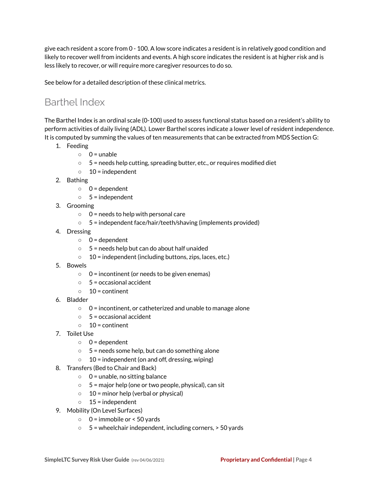give each resident a score from 0 - 100. A low score indicates a resident is in relatively good condition and likely to recover well from incidents and events. A high score indicates the resident is at higher risk and is less likely to recover, or will require more caregiver resources to do so.

See below for a detailed description of these clinical metrics.

### Barthel Index

The Barthel Index is an ordinal scale (0-100) used to assess functional status based on a resident's ability to perform activities of daily living (ADL). Lower Barthel scores indicate a lower level of resident independence. It is computed by summing the values of ten measurements that can be extracted from MDS Section G:

- 1. Feeding
	- $\circ$  0 = unable
	- 5 = needs help cutting, spreading butter, etc., or requires modified diet
	- $\circ$  10 = independent
- 2. Bathing
	- $0 =$  dependent
	- $0.5 =$  independent
- 3. Grooming
	- $\circ$  0 = needs to help with personal care
	- 5 = independent face/hair/teeth/shaving (implements provided)
- 4. Dressing
	- $0 =$  dependent
	- 5 = needs help but can do about half unaided
	- $\circ$  10 = independent (including buttons, zips, laces, etc.)
- 5. Bowels
	- $\circ$  0 = incontinent (or needs to be given enemas)
	- $\circ$  5 = occasional accident
	- $\circ$  10 = continent
- 6. Bladder
	- $\circ$  0 = incontinent, or catheterized and unable to manage alone
	- $\circ$  5 = occasional accident
	- $\circ$  10 = continent
- 7. Toilet Use
	- 0 = dependent
	- $\circ$  5 = needs some help, but can do something alone
	- $\circ$  10 = independent (on and off, dressing, wiping)
- 8. Transfers (Bed to Chair and Back)
	- $\circ$  0 = unable, no sitting balance
	- $\circ$  5 = major help (one or two people, physical), can sit
	- $\circ$  10 = minor help (verbal or physical)
	- $\circ$  15 = independent
- 9. Mobility (On Level Surfaces)
	- $\circ$  0 = immobile or < 50 yards
	- $\circ$  5 = wheelchair independent, including corners,  $>$  50 yards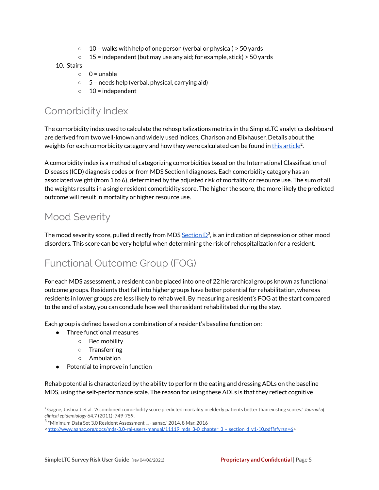- $\circ$  10 = walks with help of one person (verbal or physical) > 50 yards
- $\circ$  15 = independent (but may use any aid; for example, stick) > 50 yards

#### 10. Stairs

- $0 =$  unable
- $\circ$  5 = needs help (verbal, physical, carrying aid)
- $\circ$  10 = independent

#### Comorbidity Index

The comorbidity index used to calculate the rehospitalizations metrics in the SimpleLTC analytics dashboard are derived from two well-known and widely used indices, Charlson and Elixhauser. Details about the weights for each comorbidity category and how they were calculated can be found in <u>this [article](http://www.ncbi.nlm.nih.gov/pmc/articles/PMC3100405/)</u><sup>2</sup>.

A comorbidity index is a method of categorizing comorbidities based on the International Classification of Diseases (ICD) diagnosis codes or from MDS Section I diagnoses. Each comorbidity category has an associated weight (from 1 to 6), determined by the adjusted risk of mortality or resource use. The sum of all the weights results in a single resident comorbidity score. The higher the score, the more likely the predicted outcome will result in mortality or higher resource use.

#### Mood Severity

The mood severity score, pulled directly from MDS  $\frac{\rm Section\,D^3}{}$  $\frac{\rm Section\,D^3}{}$  $\frac{\rm Section\,D^3}{}$ , is an indication of depression or other mood disorders. This score can be very helpful when determining the risk of rehospitalization for a resident.

#### Functional Outcome Group (FOG)

For each MDS assessment, a resident can be placed into one of 22 hierarchical groups known as functional outcome groups. Residents that fall into higher groups have better potential for rehabilitation, whereas residents in lower groups are less likely to rehab well. By measuring a resident's FOG at the start compared to the end of a stay, you can conclude how well the resident rehabilitated during the stay.

Each group is defined based on a combination of a resident's baseline function on:

- Three functional measures
	- Bed mobility
	- Transferring
	- Ambulation
- Potential to improve in function

Rehab potential is characterized by the ability to perform the eating and dressing ADLs on the baseline MDS, using the self-performance scale. The reason for using these ADLs is that they reflect cognitive

<sup>2</sup> Gagne, Joshua J et al."A combined comorbidity score predicted mortality in elderly patients better than existing scores." *Journal of clinical epidemiology* 64.7 (2011): 749-759.

 $^3$  "Minimum Data Set 3.0 Resident Assessment ... - aanac." 2014. 8 Mar. 2016

<sup>&</sup>lt;[http://www.aanac.org/docs/mds-3.0-rai-users-manual/11119\\_mds\\_3-0\\_chapter\\_3\\_-\\_section\\_d\\_v1-10.pdf?sfvrsn=6>](http://www.aanac.org/docs/mds-3.0-rai-users-manual/11119_mds_3-0_chapter_3_-_section_d_v1-10.pdf?sfvrsn=6)